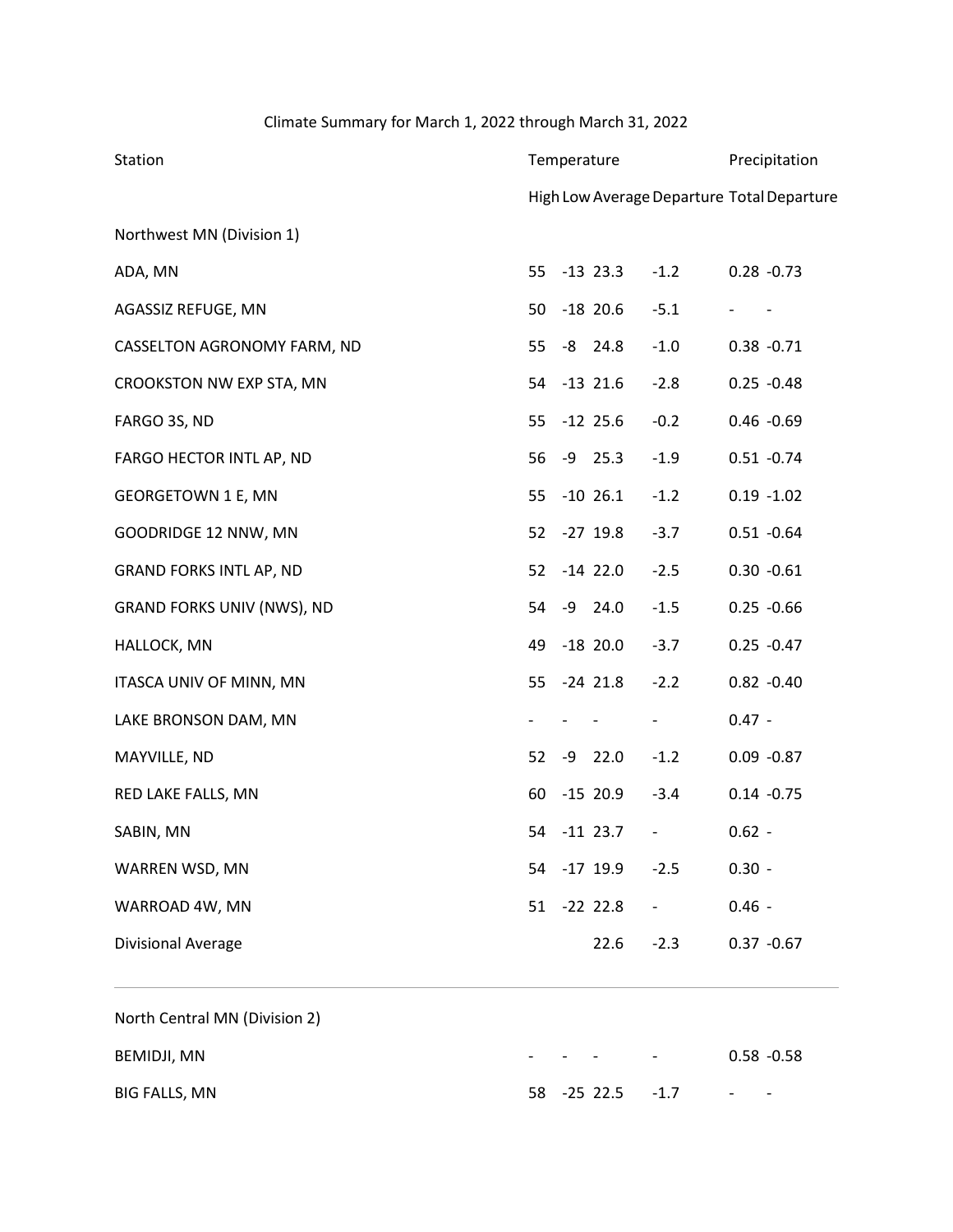## Climate Summary for March 1, 2022 through March 31, 2022

| Station                        |    | Temperature | Precipitation     |                                            |  |
|--------------------------------|----|-------------|-------------------|--------------------------------------------|--|
|                                |    |             |                   | High Low Average Departure Total Departure |  |
| Northwest MN (Division 1)      |    |             |                   |                                            |  |
| ADA, MN                        | 55 | $-13$ 23.3  | $-1.2$            | $0.28 - 0.73$                              |  |
| AGASSIZ REFUGE, MN             | 50 | $-18$ 20.6  | $-5.1$            | $\overline{\phantom{a}}$                   |  |
| CASSELTON AGRONOMY FARM, ND    | 55 | $-8$ 24.8   | $-1.0$            | $0.38 - 0.71$                              |  |
| CROOKSTON NW EXP STA, MN       | 54 | $-13$ 21.6  | $-2.8$            | $0.25 - 0.48$                              |  |
| FARGO 3S, ND                   | 55 | $-12$ 25.6  | $-0.2$            | $0.46 - 0.69$                              |  |
| FARGO HECTOR INTL AP, ND       | 56 | $-9$ 25.3   | $-1.9$            | $0.51 - 0.74$                              |  |
| <b>GEORGETOWN 1 E, MN</b>      | 55 | $-10$ 26.1  | $-1.2$            | $0.19 - 1.02$                              |  |
| GOODRIDGE 12 NNW, MN           | 52 | $-27$ 19.8  | $-3.7$            | $0.51 - 0.64$                              |  |
| <b>GRAND FORKS INTL AP, ND</b> | 52 | $-14$ 22.0  | $-2.5$            | $0.30 - 0.61$                              |  |
| GRAND FORKS UNIV (NWS), ND     | 54 | $-9$ 24.0   | $-1.5$            | $0.25 - 0.66$                              |  |
| HALLOCK, MN                    | 49 | $-18$ 20.0  | $-3.7$            | $0.25 - 0.47$                              |  |
| ITASCA UNIV OF MINN, MN        | 55 | $-24$ 21.8  | $-2.2$            | $0.82 - 0.40$                              |  |
| LAKE BRONSON DAM, MN           |    |             |                   | $0.47 -$                                   |  |
| MAYVILLE, ND                   | 52 | $-9$ 22.0   | $-1.2$            | $0.09 - 0.87$                              |  |
| RED LAKE FALLS, MN             | 60 | $-15$ 20.9  | $-3.4$            | $0.14 - 0.75$                              |  |
| SABIN, MN                      | 54 | $-11$ 23.7  | $\qquad \qquad -$ | $0.62 -$                                   |  |
| WARREN WSD, MN                 | 54 | $-17$ 19.9  | $-2.5$            | $0.30 -$                                   |  |
| WARROAD 4W, MN                 | 51 | $-22$ 22.8  |                   | $0.46 -$                                   |  |
| Divisional Average             |    | 22.6        | $-2.3$            | $0.37 - 0.67$                              |  |

| North Central MN (Division 2) |                          |      |                  |                                   |                          |                          |
|-------------------------------|--------------------------|------|------------------|-----------------------------------|--------------------------|--------------------------|
| BEMIDJI, MN                   | $\overline{\phantom{0}}$ | $ -$ |                  | <b>Contract Contract Contract</b> |                          | $0.58 - 0.58$            |
| BIG FALLS, MN                 |                          |      | 58 -25 22.5 -1.7 |                                   | $\overline{\phantom{0}}$ | $\overline{\phantom{0}}$ |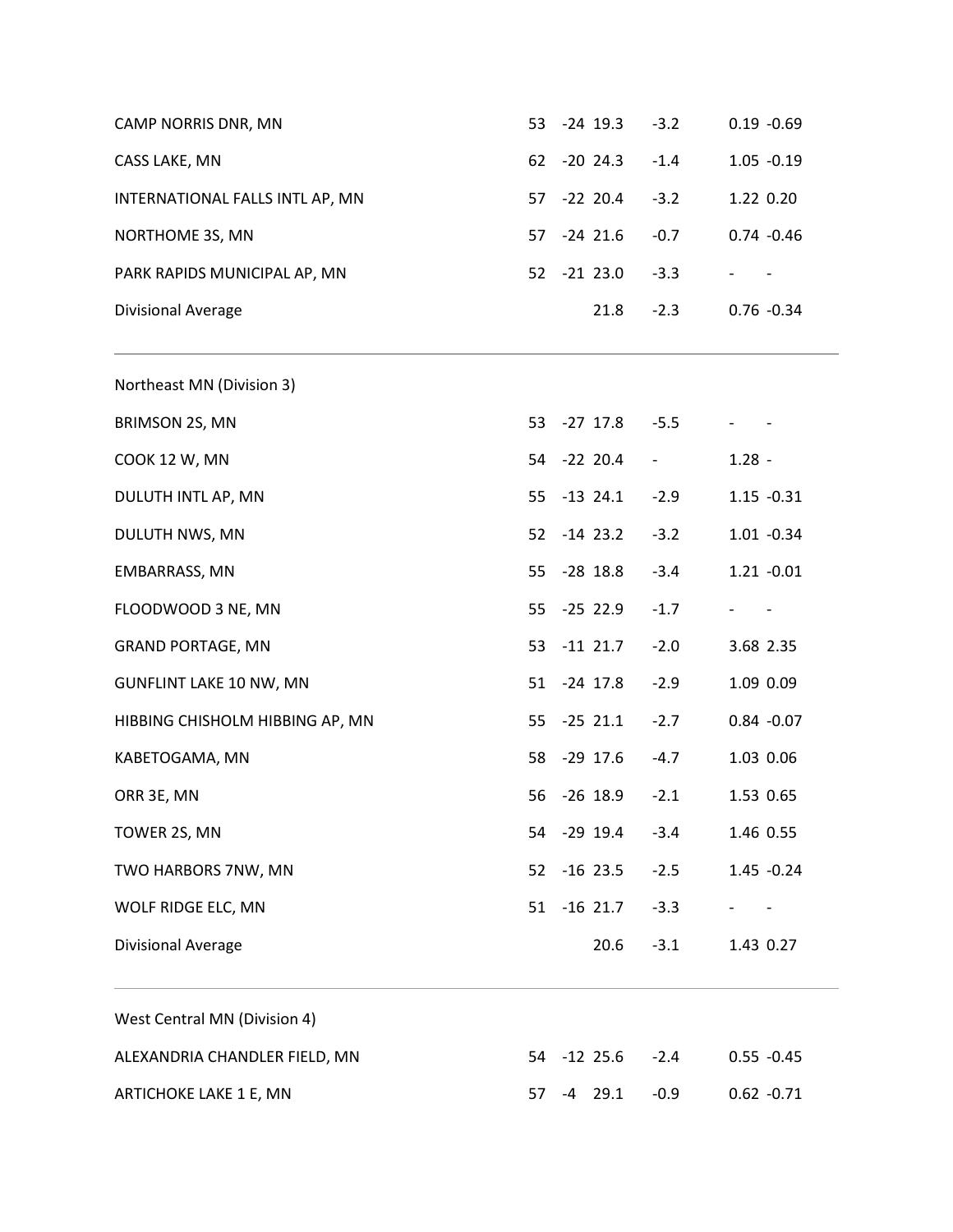| CAMP NORRIS DNR, MN             |    | 53 -24 19.3 | $-3.2$                          | $0.19 - 0.69$            |  |
|---------------------------------|----|-------------|---------------------------------|--------------------------|--|
| CASS LAKE, MN                   |    | 62 -20 24.3 | $-1.4$                          | $1.05 - 0.19$            |  |
| INTERNATIONAL FALLS INTL AP, MN | 57 | $-22$ 20.4  | $-3.2$                          | 1.22 0.20                |  |
| NORTHOME 3S, MN                 |    | 57 -24 21.6 | $-0.7$                          | $0.74 - 0.46$            |  |
| PARK RAPIDS MUNICIPAL AP, MN    |    | 52 -21 23.0 | $-3.3$                          | $\overline{\phantom{a}}$ |  |
| Divisional Average              |    | 21.8        | $-2.3$                          | $0.76 - 0.34$            |  |
| Northeast MN (Division 3)       |    |             |                                 |                          |  |
| BRIMSON 2S, MN                  |    | 53 -27 17.8 | $-5.5$                          |                          |  |
| COOK 12 W, MN                   |    | 54 -22 20.4 | $\frac{1}{2}$ and $\frac{1}{2}$ | $1.28 -$                 |  |
| DULUTH INTL AP, MN              |    | 55 -13 24.1 | $-2.9$                          | $1.15 - 0.31$            |  |
| DULUTH NWS, MN                  |    | 52 -14 23.2 | $-3.2$                          | $1.01 - 0.34$            |  |
| EMBARRASS, MN                   |    | 55 -28 18.8 | $-3.4$                          | $1.21 - 0.01$            |  |
| FLOODWOOD 3 NE, MN              |    | 55 -25 22.9 | $-1.7$                          | $\overline{\phantom{a}}$ |  |
| <b>GRAND PORTAGE, MN</b>        |    | 53 -11 21.7 | $-2.0$                          | 3.68 2.35                |  |
| <b>GUNFLINT LAKE 10 NW, MN</b>  |    | 51 -24 17.8 | $-2.9$                          | 1.09 0.09                |  |
| HIBBING CHISHOLM HIBBING AP, MN |    | 55 -25 21.1 | $-2.7$                          | $0.84 - 0.07$            |  |
| KABETOGAMA, MN                  |    | 58 -29 17.6 | $-4.7$                          | 1.03 0.06                |  |
| ORR 3E, MN                      |    | 56 -26 18.9 | $-2.1$                          | 1.53 0.65                |  |
| TOWER 2S, MN                    | 54 | $-29$ 19.4  | $-3.4$                          | 1.46 0.55                |  |
| TWO HARBORS 7NW, MN             | 52 | $-16$ 23.5  | $-2.5$                          | $1.45 - 0.24$            |  |
| WOLF RIDGE ELC, MN              | 51 | $-16$ 21.7  | $-3.3$                          |                          |  |
| Divisional Average              |    | 20.6        | $-3.1$                          | 1.43 0.27                |  |
| West Central MN (Division 4)    |    |             |                                 |                          |  |
| ALEXANDRIA CHANDLER FIELD, MN   | 54 | $-12$ 25.6  | $-2.4$                          | $0.55 - 0.45$            |  |
| ARTICHOKE LAKE 1 E, MN          | 57 | $-4$ 29.1   | $-0.9$                          | $0.62 -0.71$             |  |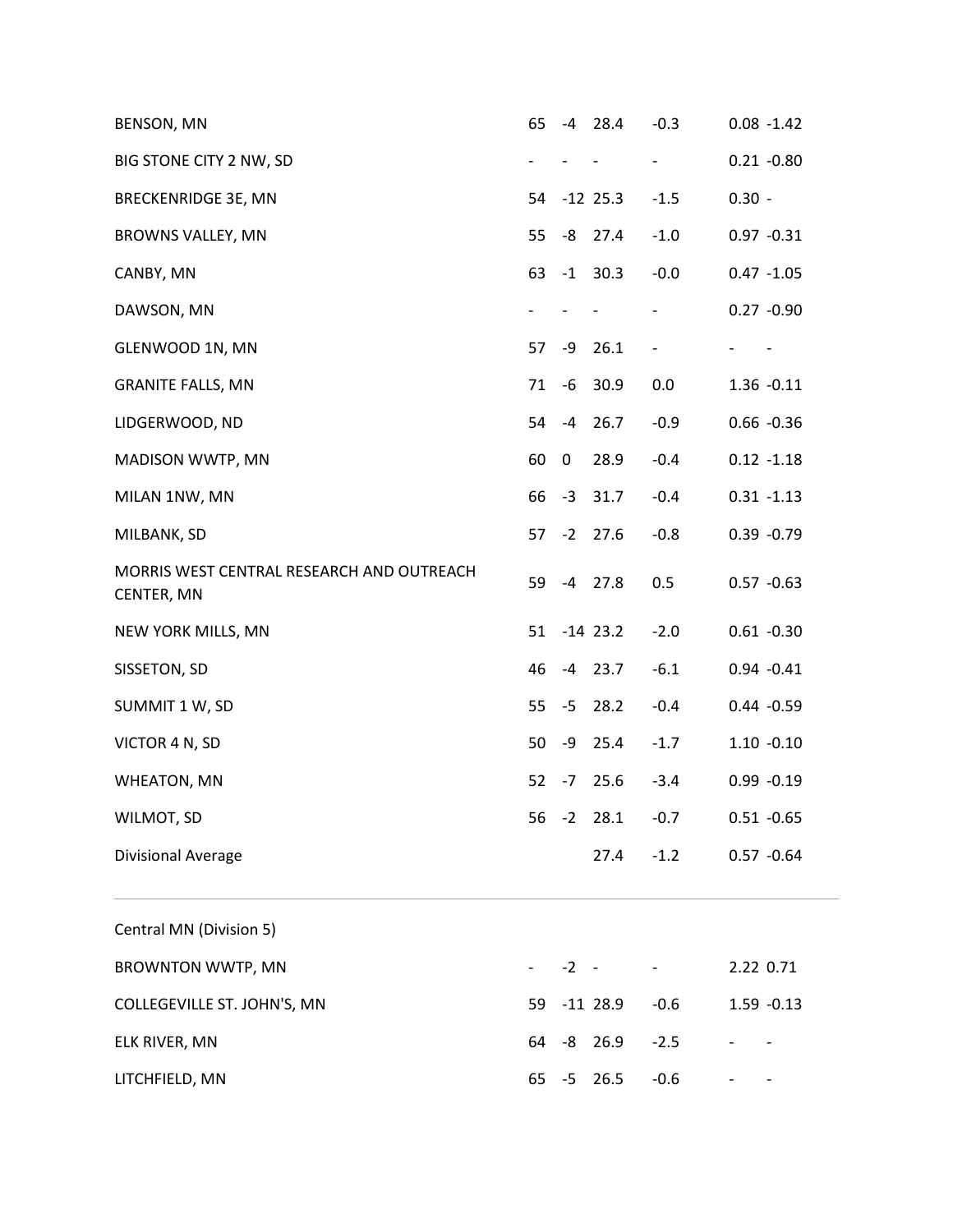| BENSON, MN                                              | 65 | -4       | 28.4       | $-0.3$                   |          | $0.08 - 1.42$ |
|---------------------------------------------------------|----|----------|------------|--------------------------|----------|---------------|
| BIG STONE CITY 2 NW, SD                                 |    |          |            | $\blacksquare$           |          | $0.21 - 0.80$ |
| <b>BRECKENRIDGE 3E, MN</b>                              | 54 |          | $-12$ 25.3 | $-1.5$                   | $0.30 -$ |               |
| BROWNS VALLEY, MN                                       | 55 | -8       | 27.4       | $-1.0$                   |          | $0.97 - 0.31$ |
| CANBY, MN                                               | 63 |          | $-1$ 30.3  | $-0.0$                   |          | $0.47 - 1.05$ |
| DAWSON, MN                                              |    |          |            | $\overline{\phantom{a}}$ |          | $0.27 - 0.90$ |
| GLENWOOD 1N, MN                                         | 57 | -9       | 26.1       | $\qquad \qquad -$        |          |               |
| <b>GRANITE FALLS, MN</b>                                | 71 | -6       | 30.9       | 0.0                      |          | $1.36 - 0.11$ |
| LIDGERWOOD, ND                                          | 54 | $-4$     | 26.7       | $-0.9$                   |          | $0.66 - 0.36$ |
| MADISON WWTP, MN                                        | 60 | 0        | 28.9       | $-0.4$                   |          | $0.12 - 1.18$ |
| MILAN 1NW, MN                                           | 66 |          | $-3$ 31.7  | $-0.4$                   |          | $0.31 - 1.13$ |
| MILBANK, SD                                             | 57 |          | $-2$ 27.6  | $-0.8$                   |          | $0.39 - 0.79$ |
| MORRIS WEST CENTRAL RESEARCH AND OUTREACH<br>CENTER, MN | 59 |          | $-4$ 27.8  | 0.5                      |          | $0.57 - 0.63$ |
| NEW YORK MILLS, MN                                      | 51 |          | $-14$ 23.2 | $-2.0$                   |          | $0.61 - 0.30$ |
| SISSETON, SD                                            | 46 |          | $-4$ 23.7  | $-6.1$                   |          | $0.94 - 0.41$ |
| SUMMIT 1 W, SD                                          | 55 | $-5$     | 28.2       | $-0.4$                   |          | $0.44 - 0.59$ |
| VICTOR 4 N, SD                                          | 50 | -9       | 25.4       | $-1.7$                   |          | $1.10 - 0.10$ |
| <b>WHEATON, MN</b>                                      | 52 | $-7$     | 25.6       | $-3.4$                   |          | $0.99 - 0.19$ |
| WILMOT, SD                                              | 56 | $-2$     | 28.1       | $-0.7$                   |          | $0.51 - 0.65$ |
| Divisional Average                                      |    |          | 27.4       | $-1.2$                   |          | $0.57 - 0.64$ |
| Central MN (Division 5)                                 |    |          |            |                          |          |               |
| <b>BROWNTON WWTP, MN</b>                                |    | $-2 - -$ |            |                          |          | 2.22 0.71     |
| COLLEGEVILLE ST. JOHN'S, MN                             | 59 |          | $-11$ 28.9 | $-0.6$                   |          | $1.59 - 0.13$ |
| ELK RIVER, MN                                           | 64 | -8       | 26.9       | $-2.5$                   |          |               |
| LITCHFIELD, MN                                          | 65 | $-5$     | 26.5       | $-0.6$                   |          |               |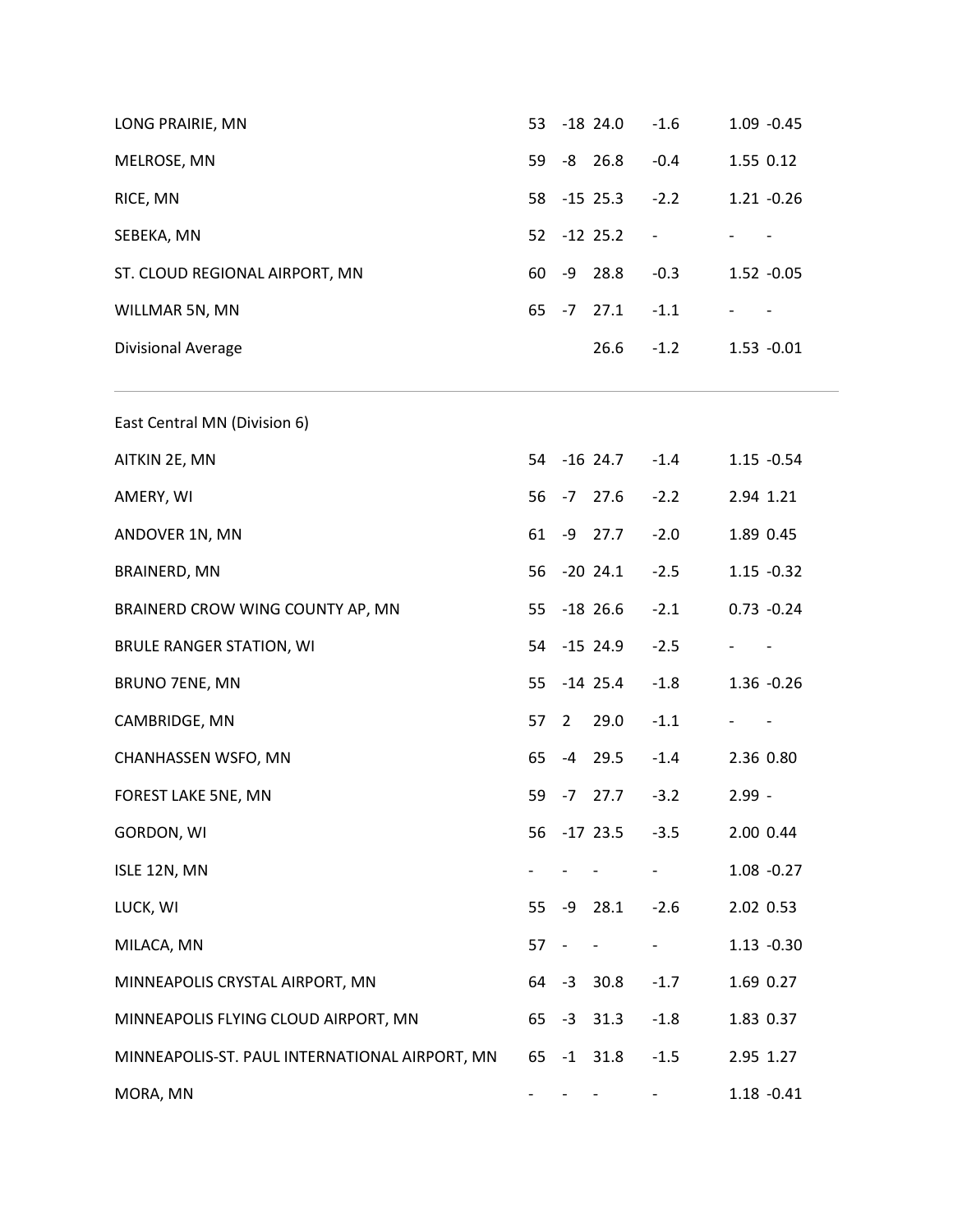| LONG PRAIRIE, MN                               | 53 |                          | $-18$ 24.0               | $-1.6$                       | 1.09 -0.45    |
|------------------------------------------------|----|--------------------------|--------------------------|------------------------------|---------------|
| MELROSE, MN                                    | 59 |                          | $-8$ 26.8                | $-0.4$                       | 1.55 0.12     |
| RICE, MN                                       | 58 |                          | $-15$ 25.3               | $-2.2$                       | $1.21 - 0.26$ |
| SEBEKA, MN                                     | 52 |                          | $-12$ 25.2               | $\qquad \qquad \blacksquare$ |               |
| ST. CLOUD REGIONAL AIRPORT, MN                 | 60 | -9                       | 28.8                     | $-0.3$                       | $1.52 -0.05$  |
| WILLMAR 5N, MN                                 | 65 | $-7$                     | 27.1                     | $-1.1$                       |               |
| Divisional Average                             |    |                          | 26.6                     | $-1.2$                       | $1.53 - 0.01$ |
| East Central MN (Division 6)                   |    |                          |                          |                              |               |
| AITKIN 2E, MN                                  | 54 |                          | $-16$ 24.7               | $-1.4$                       | $1.15 - 0.54$ |
| AMERY, WI                                      | 56 | $-7$                     | 27.6                     | $-2.2$                       | 2.94 1.21     |
| ANDOVER 1N, MN                                 | 61 |                          | $-9$ 27.7                | $-2.0$                       | 1.89 0.45     |
| BRAINERD, MN                                   | 56 |                          | $-20$ 24.1               | $-2.5$                       | $1.15 - 0.32$ |
| BRAINERD CROW WING COUNTY AP, MN               | 55 |                          | $-18$ 26.6               | $-2.1$                       | $0.73 - 0.24$ |
| <b>BRULE RANGER STATION, WI</b>                | 54 |                          | $-15$ 24.9               | $-2.5$                       |               |
| BRUNO 7ENE, MN                                 | 55 |                          | $-14$ 25.4               | $-1.8$                       | 1.36 -0.26    |
| CAMBRIDGE, MN                                  | 57 | $\overline{2}$           | 29.0                     | $-1.1$                       |               |
| CHANHASSEN WSFO, MN                            | 65 | $-4$                     | 29.5                     | $-1.4$                       | 2.36 0.80     |
| FOREST LAKE 5NE, MN                            | 59 | $-7$                     | 27.7                     | $-3.2$                       | $2.99 -$      |
| <b>GORDON, WI</b>                              | 56 |                          | $-17$ 23.5               | $-3.5$                       | 2.00 0.44     |
| ISLE 12N, MN                                   |    |                          |                          |                              | $1.08 - 0.27$ |
| LUCK, WI                                       | 55 |                          | $-9$ 28.1                | $-2.6$                       | 2.02 0.53     |
| MILACA, MN                                     | 57 | $\overline{\phantom{a}}$ | $\overline{\phantom{a}}$ | $\blacksquare$               | $1.13 - 0.30$ |
| MINNEAPOLIS CRYSTAL AIRPORT, MN                |    |                          | 64 -3 30.8               | $-1.7$                       | 1.69 0.27     |
| MINNEAPOLIS FLYING CLOUD AIRPORT, MN           |    |                          | 65 -3 31.3               | $-1.8$                       | 1.83 0.37     |
| MINNEAPOLIS-ST. PAUL INTERNATIONAL AIRPORT, MN |    |                          | 65 -1 31.8               | $-1.5$                       | 2.95 1.27     |
| MORA, MN                                       |    |                          |                          |                              | $1.18 - 0.41$ |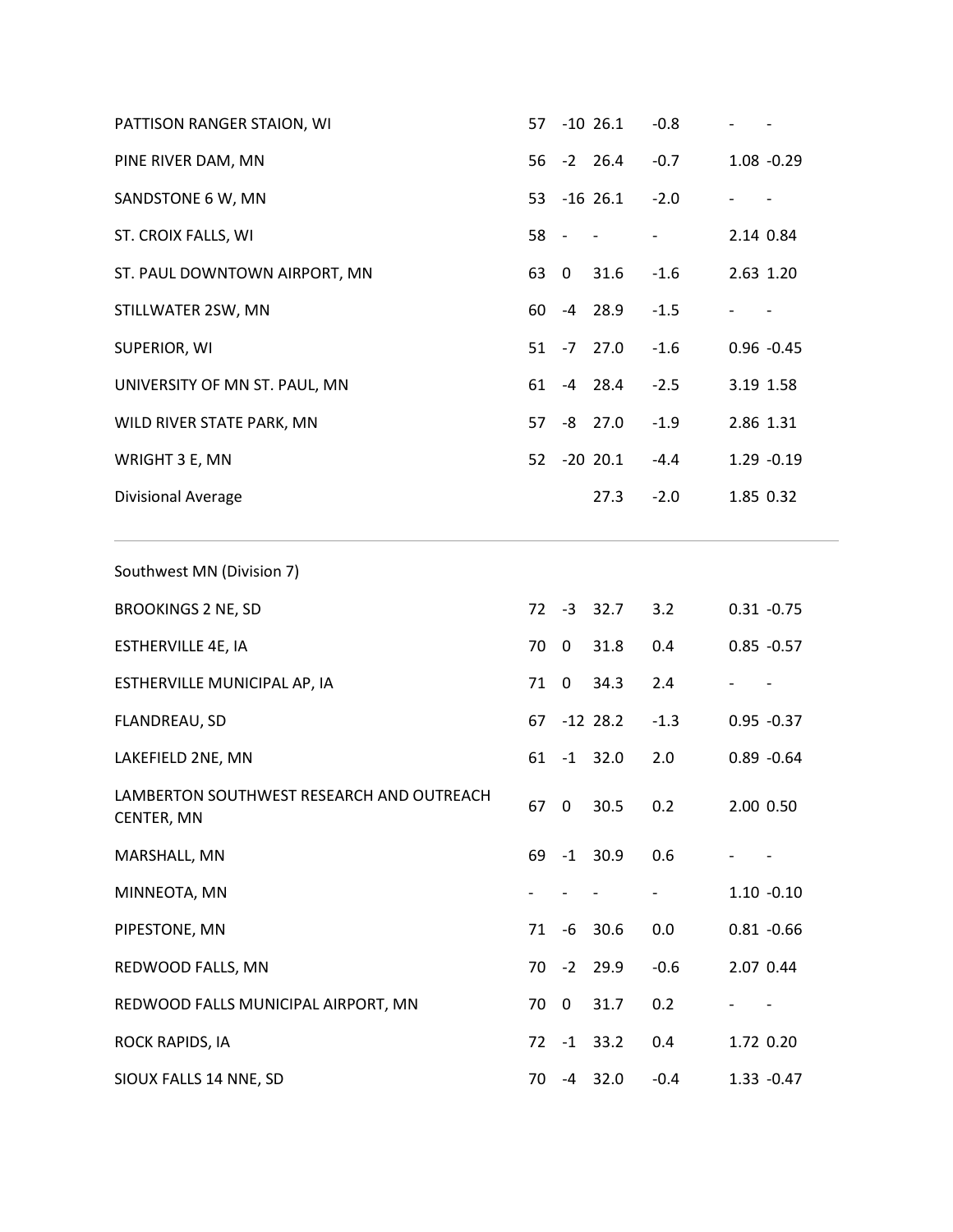| PATTISON RANGER STAION, WI                              | 57 |      | $-10$ 26.1 | $-0.8$                   |               |
|---------------------------------------------------------|----|------|------------|--------------------------|---------------|
| PINE RIVER DAM, MN                                      | 56 |      | $-2$ 26.4  | $-0.7$                   | $1.08 - 0.29$ |
| SANDSTONE 6 W, MN                                       | 53 |      | $-16$ 26.1 | $-2.0$                   |               |
| ST. CROIX FALLS, WI                                     | 58 |      |            | $\overline{\phantom{a}}$ | 2.14 0.84     |
| ST. PAUL DOWNTOWN AIRPORT, MN                           | 63 | 0    | 31.6       | $-1.6$                   | 2.63 1.20     |
| STILLWATER 2SW, MN                                      | 60 |      | $-4$ 28.9  | $-1.5$                   |               |
| SUPERIOR, WI                                            | 51 | $-7$ | 27.0       | $-1.6$                   | $0.96 - 0.45$ |
| UNIVERSITY OF MN ST. PAUL, MN                           | 61 |      | $-4$ 28.4  | $-2.5$                   | 3.19 1.58     |
| WILD RIVER STATE PARK, MN                               | 57 |      | $-8$ 27.0  | $-1.9$                   | 2.86 1.31     |
| WRIGHT 3 E, MN                                          | 52 |      | $-20$ 20.1 | $-4.4$                   | 1.29 -0.19    |
| Divisional Average                                      |    |      | 27.3       | $-2.0$                   | 1.85 0.32     |
| Southwest MN (Division 7)                               |    |      |            |                          |               |
| <b>BROOKINGS 2 NE, SD</b>                               | 72 |      | $-3$ 32.7  | 3.2                      | $0.31 - 0.75$ |
| ESTHERVILLE 4E, IA                                      | 70 | 0    | 31.8       | 0.4                      | $0.85 - 0.57$ |
| ESTHERVILLE MUNICIPAL AP, IA                            | 71 | 0    | 34.3       | 2.4                      |               |
| FLANDREAU, SD                                           | 67 |      | $-12$ 28.2 | $-1.3$                   | $0.95 - 0.37$ |
| LAKEFIELD 2NE, MN                                       | 61 |      | $-1$ 32.0  | 2.0                      | $0.89 - 0.64$ |
| LAMBERTON SOUTHWEST RESEARCH AND OUTREACH<br>CENTER, MN |    | 67 0 | 30.5       | 0.2                      | 2.00 0.50     |
| MARSHALL, MN                                            | 69 | $-1$ | 30.9       | 0.6                      |               |
| MINNEOTA, MN                                            |    |      |            |                          | $1.10 - 0.10$ |
| PIPESTONE, MN                                           | 71 | -6   | 30.6       | 0.0                      | $0.81 - 0.66$ |
| REDWOOD FALLS, MN                                       | 70 | $-2$ | 29.9       | $-0.6$                   | 2.07 0.44     |
| REDWOOD FALLS MUNICIPAL AIRPORT, MN                     | 70 | 0    | 31.7       | 0.2                      |               |
| ROCK RAPIDS, IA                                         | 72 | $-1$ | 33.2       | 0.4                      | 1.72 0.20     |
| SIOUX FALLS 14 NNE, SD                                  | 70 | $-4$ | 32.0       | $-0.4$                   | $1.33 - 0.47$ |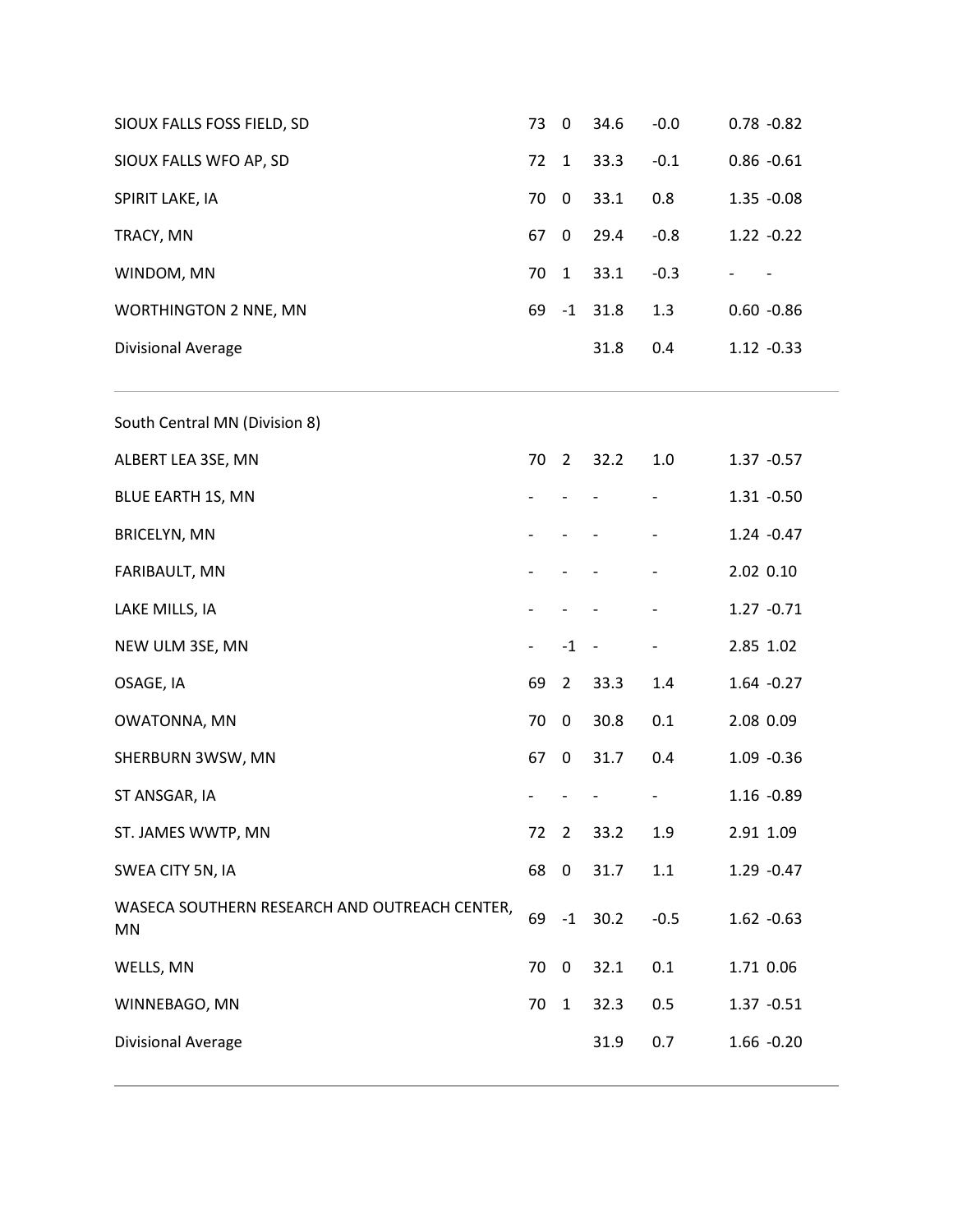| SIOUX FALLS FOSS FIELD, SD                                 | 73 | $\pmb{0}$      | 34.6 | $-0.0$ | $0.78 - 0.82$ |
|------------------------------------------------------------|----|----------------|------|--------|---------------|
| SIOUX FALLS WFO AP, SD                                     | 72 | $\mathbf{1}$   | 33.3 | $-0.1$ | $0.86 - 0.61$ |
| SPIRIT LAKE, IA                                            | 70 | 0              | 33.1 | 0.8    | $1.35 - 0.08$ |
| TRACY, MN                                                  | 67 | 0              | 29.4 | $-0.8$ | $1.22 - 0.22$ |
| WINDOM, MN                                                 | 70 | $\mathbf{1}$   | 33.1 | $-0.3$ |               |
| <b>WORTHINGTON 2 NNE, MN</b>                               | 69 | $-1$           | 31.8 | 1.3    | $0.60 - 0.86$ |
| Divisional Average                                         |    |                | 31.8 | 0.4    | $1.12 - 0.33$ |
| South Central MN (Division 8)                              |    |                |      |        |               |
| ALBERT LEA 3SE, MN                                         | 70 | $\overline{2}$ | 32.2 | 1.0    | $1.37 - 0.57$ |
| <b>BLUE EARTH 1S, MN</b>                                   |    |                |      |        | $1.31 - 0.50$ |
| <b>BRICELYN, MN</b>                                        |    |                |      |        | $1.24 - 0.47$ |
| FARIBAULT, MN                                              |    |                |      |        | 2.02 0.10     |
| LAKE MILLS, IA                                             |    |                |      |        | $1.27 - 0.71$ |
| NEW ULM 3SE, MN                                            |    | $-1 -$         |      | -      | 2.85 1.02     |
| OSAGE, IA                                                  | 69 | $\overline{2}$ | 33.3 | 1.4    | $1.64 - 0.27$ |
| OWATONNA, MN                                               | 70 | $\mathbf 0$    | 30.8 | 0.1    | 2.08 0.09     |
| SHERBURN 3WSW, MN                                          | 67 | $\mathbf 0$    | 31.7 | 0.4    | $1.09 - 0.36$ |
| ST ANSGAR, IA                                              |    |                |      |        | 1.16 -0.89    |
| ST. JAMES WWTP, MN                                         | 72 | $\overline{2}$ | 33.2 | 1.9    | 2.91 1.09     |
| SWEA CITY 5N, IA                                           | 68 | $\mathbf 0$    | 31.7 | 1.1    | $1.29 - 0.47$ |
| WASECA SOUTHERN RESEARCH AND OUTREACH CENTER,<br><b>MN</b> | 69 | $-1$           | 30.2 | $-0.5$ | $1.62 -0.63$  |
| WELLS, MN                                                  | 70 | 0              | 32.1 | 0.1    | 1.71 0.06     |
| WINNEBAGO, MN                                              | 70 | $\mathbf{1}$   | 32.3 | 0.5    | $1.37 - 0.51$ |
| Divisional Average                                         |    |                | 31.9 | 0.7    | $1.66 - 0.20$ |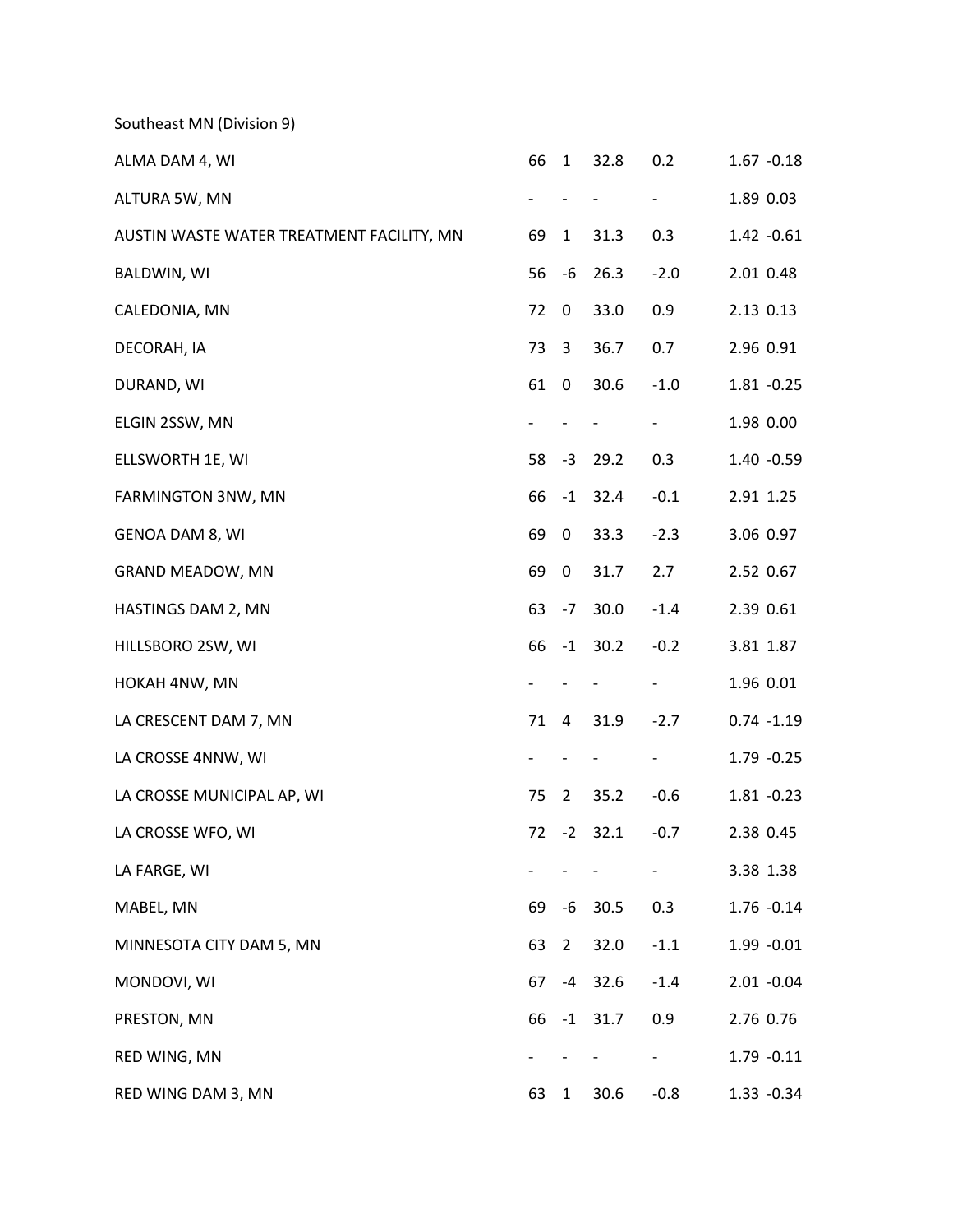Southeast MN [\(Division 9\)](http://www.cpc.ncep.noaa.gov/products/analysis_monitoring/regional_monitoring/CLIM_DIVS/minnesota.gif)

| ALMA DAM 4, WI                            | 66 | $\mathbf{1}$   | 32.8      | 0.2    | $1.67 - 0.18$ |
|-------------------------------------------|----|----------------|-----------|--------|---------------|
| ALTURA 5W, MN                             |    |                |           |        | 1.89 0.03     |
| AUSTIN WASTE WATER TREATMENT FACILITY, MN | 69 | $\mathbf{1}$   | 31.3      | 0.3    | $1.42 -0.61$  |
| <b>BALDWIN, WI</b>                        | 56 | -6             | 26.3      | $-2.0$ | 2.01 0.48     |
| CALEDONIA, MN                             | 72 | 0              | 33.0      | 0.9    | 2.13 0.13     |
| DECORAH, IA                               | 73 | 3              | 36.7      | 0.7    | 2.96 0.91     |
| DURAND, WI                                | 61 | 0              | 30.6      | $-1.0$ | $1.81 - 0.25$ |
| ELGIN 2SSW, MN                            |    |                |           |        | 1.98 0.00     |
| ELLSWORTH 1E, WI                          | 58 | -3             | 29.2      | 0.3    | $1.40 - 0.59$ |
| FARMINGTON 3NW, MN                        | 66 | $-1$           | 32.4      | $-0.1$ | 2.91 1.25     |
| GENOA DAM 8, WI                           | 69 | 0              | 33.3      | $-2.3$ | 3.06 0.97     |
| GRAND MEADOW, MN                          | 69 | 0              | 31.7      | 2.7    | 2.52 0.67     |
| HASTINGS DAM 2, MN                        | 63 | $-7$           | 30.0      | $-1.4$ | 2.39 0.61     |
| HILLSBORO 2SW, WI                         | 66 |                | $-1$ 30.2 | $-0.2$ | 3.81 1.87     |
| HOKAH 4NW, MN                             |    |                |           |        | 1.96 0.01     |
| LA CRESCENT DAM 7, MN                     | 71 | 4              | 31.9      | $-2.7$ | $0.74 - 1.19$ |
| LA CROSSE 4NNW, WI                        |    |                |           |        | $1.79 - 0.25$ |
| LA CROSSE MUNICIPAL AP, WI                | 75 | 2              | 35.2      | $-0.6$ | $1.81 - 0.23$ |
| LA CROSSE WFO, WI                         | 72 |                | $-2$ 32.1 | $-0.7$ | 2.38 0.45     |
| LA FARGE, WI                              |    |                |           |        | 3.38 1.38     |
| MABEL, MN                                 | 69 |                | $-6$ 30.5 | 0.3    | $1.76 - 0.14$ |
| MINNESOTA CITY DAM 5, MN                  | 63 | $\overline{2}$ | 32.0      | $-1.1$ | $1.99 - 0.01$ |
| MONDOVI, WI                               | 67 |                | $-4$ 32.6 | $-1.4$ | $2.01 - 0.04$ |
| PRESTON, MN                               | 66 |                | $-1$ 31.7 | 0.9    | 2.76 0.76     |
| RED WING, MN                              |    |                |           |        | $1.79 - 0.11$ |
| RED WING DAM 3, MN                        | 63 | $\mathbf{1}$   | 30.6      | $-0.8$ | $1.33 - 0.34$ |